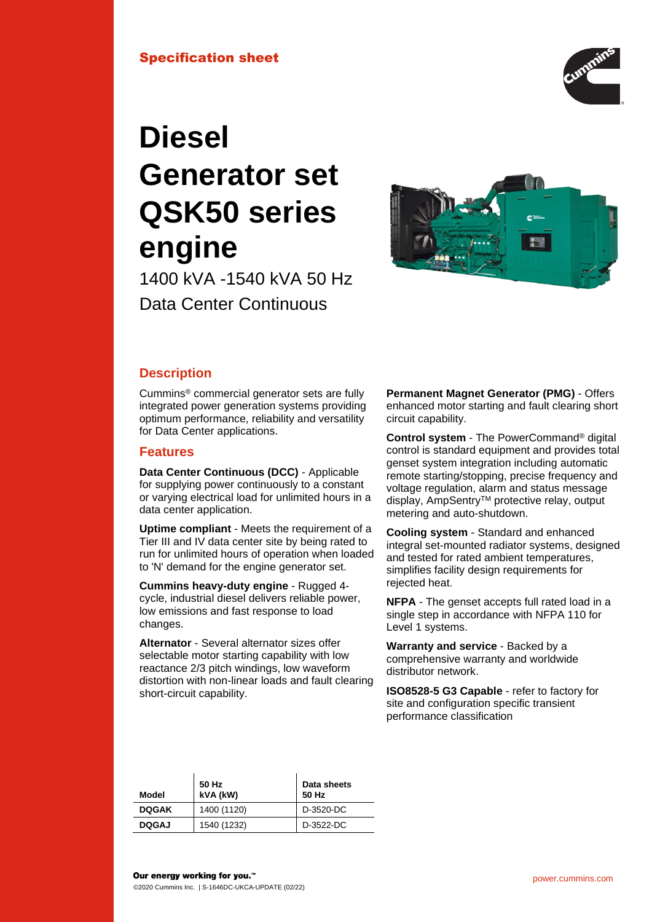

# **Diesel Generator set QSK50 series engine**

1400 kVA -1540 kVA 50 Hz Data Center Continuous



# **Description**

Cummins® commercial generator sets are fully integrated power generation systems providing optimum performance, reliability and versatility for Data Center applications.

# **Features**

**Data Center Continuous (DCC)** - Applicable for supplying power continuously to a constant or varying electrical load for unlimited hours in a data center application.

**Uptime compliant** - Meets the requirement of a Tier III and IV data center site by being rated to run for unlimited hours of operation when loaded to 'N' demand for the engine generator set.

**Cummins heavy-duty engine** - Rugged 4 cycle, industrial diesel delivers reliable power, low emissions and fast response to load changes.

**Alternator** - Several alternator sizes offer selectable motor starting capability with low reactance 2/3 pitch windings, low waveform distortion with non-linear loads and fault clearing short-circuit capability.

**Permanent Magnet Generator (PMG)** - Offers enhanced motor starting and fault clearing short circuit capability.

**Control system** - The PowerCommand® digital control is standard equipment and provides total genset system integration including automatic remote starting/stopping, precise frequency and voltage regulation, alarm and status message display, AmpSentry™ protective relay, output metering and auto-shutdown.

**Cooling system** - Standard and enhanced integral set-mounted radiator systems, designed and tested for rated ambient temperatures, simplifies facility design requirements for rejected heat.

**NFPA** - The genset accepts full rated load in a single step in accordance with NFPA 110 for Level 1 systems.

**Warranty and service** - Backed by a comprehensive warranty and worldwide distributor network.

**ISO8528-5 G3 Capable** - refer to factory for site and configuration specific transient performance classification

| Model        | 50 Hz<br>kVA (kW) | Data sheets<br>50 Hz |
|--------------|-------------------|----------------------|
| <b>DOGAK</b> | 1400 (1120)       | D-3520-DC            |
| <b>DOGAJ</b> | 1540 (1232)       | D-3522-DC            |
|              |                   |                      |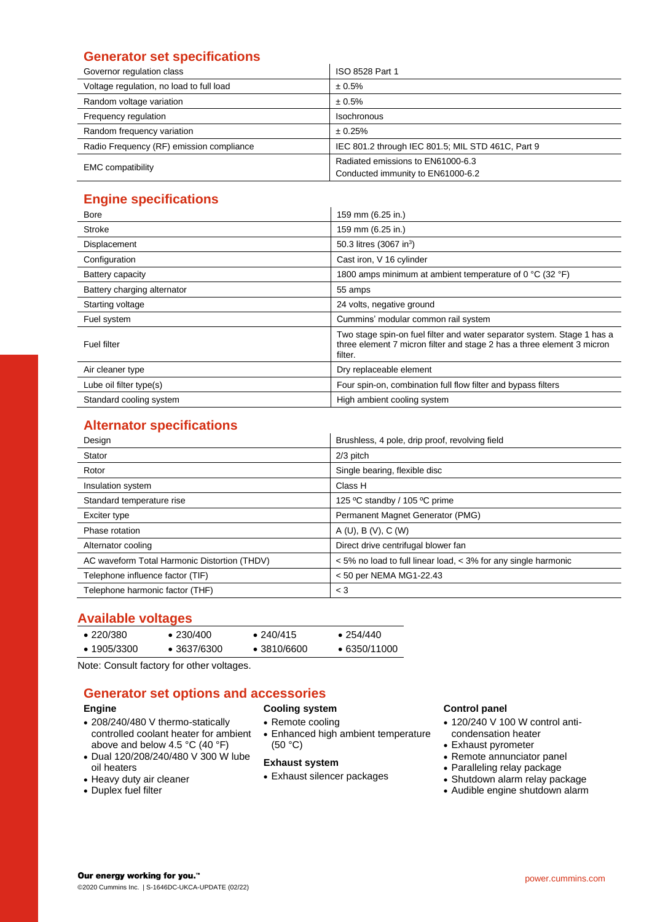# **Generator set specifications**

| Governor regulation class                | ISO 8528 Part 1                                                        |  |  |
|------------------------------------------|------------------------------------------------------------------------|--|--|
| Voltage regulation, no load to full load | ± 0.5%                                                                 |  |  |
| Random voltage variation                 | ± 0.5%                                                                 |  |  |
| Frequency regulation                     | Isochronous                                                            |  |  |
| Random frequency variation               | ± 0.25%                                                                |  |  |
| Radio Frequency (RF) emission compliance | IEC 801.2 through IEC 801.5; MIL STD 461C, Part 9                      |  |  |
| <b>EMC</b> compatibility                 | Radiated emissions to EN61000-6.3<br>Conducted immunity to EN61000-6.2 |  |  |

# **Engine specifications**

| Bore                        | 159 mm (6.25 in.)                                                                                                                                            |
|-----------------------------|--------------------------------------------------------------------------------------------------------------------------------------------------------------|
| <b>Stroke</b>               | 159 mm (6.25 in.)                                                                                                                                            |
| Displacement                | 50.3 litres (3067 in <sup>3</sup> )                                                                                                                          |
| Configuration               | Cast iron, V 16 cylinder                                                                                                                                     |
| Battery capacity            | 1800 amps minimum at ambient temperature of 0 °C (32 °F)                                                                                                     |
| Battery charging alternator | 55 amps                                                                                                                                                      |
| Starting voltage            | 24 volts, negative ground                                                                                                                                    |
| Fuel system                 | Cummins' modular common rail system                                                                                                                          |
| <b>Fuel filter</b>          | Two stage spin-on fuel filter and water separator system. Stage 1 has a<br>three element 7 micron filter and stage 2 has a three element 3 micron<br>filter. |
| Air cleaner type            | Dry replaceable element                                                                                                                                      |
| Lube oil filter type(s)     | Four spin-on, combination full flow filter and bypass filters                                                                                                |
| Standard cooling system     | High ambient cooling system                                                                                                                                  |

# **Alternator specifications**

| Design                                       | Brushless, 4 pole, drip proof, revolving field                 |
|----------------------------------------------|----------------------------------------------------------------|
| Stator                                       | $2/3$ pitch                                                    |
| Rotor                                        | Single bearing, flexible disc                                  |
| Insulation system                            | Class H                                                        |
| Standard temperature rise                    | 125 °C standby / 105 °C prime                                  |
| Exciter type                                 | Permanent Magnet Generator (PMG)                               |
| Phase rotation                               | A(U), B(V), C(W)                                               |
| Alternator cooling                           | Direct drive centrifugal blower fan                            |
| AC waveform Total Harmonic Distortion (THDV) | < 5% no load to full linear load, < 3% for any single harmonic |
| Telephone influence factor (TIF)             | < 50 per NEMA MG1-22.43                                        |
| Telephone harmonic factor (THF)              | $<$ 3                                                          |

# **Available voltages**

| $\bullet$ 220/380   | $\bullet$ 230/400   | $\bullet$ 240/415   | $\bullet$ 254/440    |
|---------------------|---------------------|---------------------|----------------------|
| $\bullet$ 1905/3300 | $\bullet$ 3637/6300 | $\bullet$ 3810/6600 | $\bullet$ 6350/11000 |

Note: Consult factory for other voltages.

# **Generator set options and accessories**

## **Engine**

- 208/240/480 V thermo-statically controlled coolant heater for ambient above and below 4.5 °C (40 °F)
- Dual 120/208/240/480 V 300 W lube oil heaters
- Heavy duty air cleaner
- Duplex fuel filter
- **Cooling system**
- Remote cooling • Enhanced high ambient temperature (50 °C)

## **Exhaust system**

• Exhaust silencer packages

# **Control panel**

- 120/240 V 100 W control anticondensation heater
- Exhaust pyrometer
- Remote annunciator panel
- Paralleling relay package
- Shutdown alarm relay package • Audible engine shutdown alarm

Our energy working for you.™ ©2020 Cummins Inc. | S-1646DC-UKCA-UPDATE (02/22)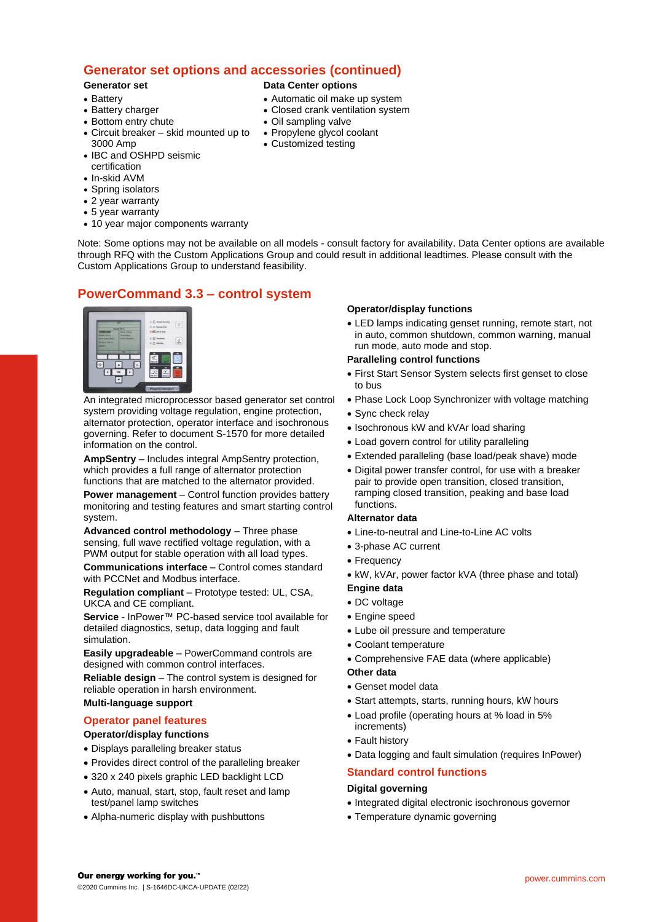# **Generator set options and accessories (continued)**

## **Generator set**

#### • Battery

- Battery charger
- Bottom entry chute
- Circuit breaker skid mounted up to 3000 Amp
- IBC and OSHPD seismic certification
- In-skid AVM
- Spring isolators
- 2 year warranty
- 5 year warranty
- 10 year major components warranty

#### Note: Some options may not be available on all models - consult factory for availability. Data Center options are available through RFQ with the Custom Applications Group and could result in additional leadtimes. Please consult with the Custom Applications Group to understand feasibility.

**Data Center options**

• Oil sampling valve • Propylene glycol coolant • Customized testing

• Automatic oil make up system • Closed crank ventilation system

# **PowerCommand 3.3 – control system**



An integrated microprocessor based generator set control system providing voltage regulation, engine protection, alternator protection, operator interface and isochronous governing. Refer to document S-1570 for more detailed information on the control.

**AmpSentry** – Includes integral AmpSentry protection, which provides a full range of alternator protection functions that are matched to the alternator provided.

**Power management** – Control function provides battery monitoring and testing features and smart starting control system.

**Advanced control methodology** – Three phase sensing, full wave rectified voltage regulation, with a PWM output for stable operation with all load types.

**Communications interface** – Control comes standard with PCCNet and Modbus interface.

**Regulation compliant** – Prototype tested: UL, CSA, UKCA and CE compliant.

**Service** - InPower™ PC-based service tool available for detailed diagnostics, setup, data logging and fault simulation.

**Easily upgradeable** – PowerCommand controls are designed with common control interfaces.

**Reliable design** – The control system is designed for reliable operation in harsh environment.

#### **Multi-language support**

## **Operator panel features**

#### **Operator/display functions**

- Displays paralleling breaker status
- Provides direct control of the paralleling breaker
- 320 x 240 pixels graphic LED backlight LCD
- Auto, manual, start, stop, fault reset and lamp test/panel lamp switches
- Alpha-numeric display with pushbuttons

#### **Operator/display functions**

• LED lamps indicating genset running, remote start, not in auto, common shutdown, common warning, manual run mode, auto mode and stop.

### **Paralleling control functions**

- First Start Sensor System selects first genset to close to bus
- Phase Lock Loop Synchronizer with voltage matching
- Sync check relay
- Isochronous kW and kVAr load sharing
- Load govern control for utility paralleling
- Extended paralleling (base load/peak shave) mode
- Digital power transfer control, for use with a breaker pair to provide open transition, closed transition, ramping closed transition, peaking and base load functions.

#### **Alternator data**

- Line-to-neutral and Line-to-Line AC volts
- 3-phase AC current
- Frequency
- kW, kVAr, power factor kVA (three phase and total)

## **Engine data**

- DC voltage
- Engine speed
- Lube oil pressure and temperature
- Coolant temperature
- Comprehensive FAE data (where applicable)

#### **Other data**

- Genset model data
- Start attempts, starts, running hours, kW hours
- Load profile (operating hours at % load in 5% increments)
- Fault history
- Data logging and fault simulation (requires InPower)

## **Standard control functions**

#### **Digital governing**

- Integrated digital electronic isochronous governor
- Temperature dynamic governing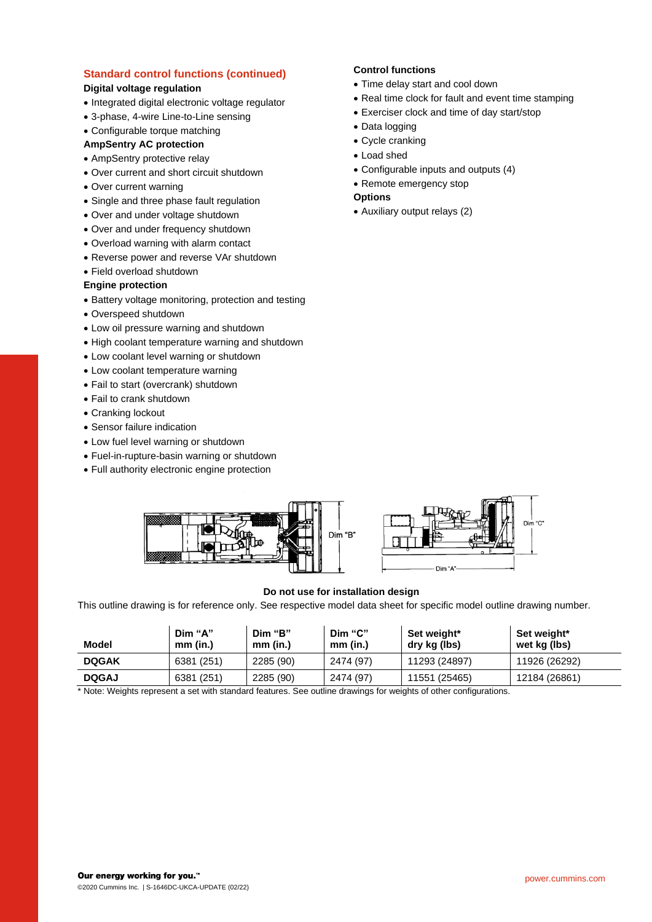# **Standard control functions (continued)**

# **Digital voltage regulation**

- Integrated digital electronic voltage regulator
- 3-phase, 4-wire Line-to-Line sensing
- Configurable torque matching

## **AmpSentry AC protection**

- AmpSentry protective relay
- Over current and short circuit shutdown
- Over current warning
- Single and three phase fault regulation
- Over and under voltage shutdown
- Over and under frequency shutdown
- Overload warning with alarm contact
- Reverse power and reverse VAr shutdown
- Field overload shutdown

#### **Engine protection**

- Battery voltage monitoring, protection and testing
- Overspeed shutdown
- Low oil pressure warning and shutdown
- High coolant temperature warning and shutdown
- Low coolant level warning or shutdown
- Low coolant temperature warning
- Fail to start (overcrank) shutdown
- Fail to crank shutdown
- Cranking lockout
- Sensor failure indication
- Low fuel level warning or shutdown
- Fuel-in-rupture-basin warning or shutdown
- Full authority electronic engine protection

## **Control functions**

- Time delay start and cool down
- Real time clock for fault and event time stamping
- Exerciser clock and time of day start/stop
- Data logging
- Cycle cranking
- Load shed
- Configurable inputs and outputs (4)
- Remote emergency stop

## **Options**

• Auxiliary output relays (2)





## **Do not use for installation design**

This outline drawing is for reference only. See respective model data sheet for specific model outline drawing number.

| 11926 (26292)<br><b>DOGAK</b><br>2285 (90)<br>2474 (97)<br>6381 (251)<br>11293 (24897) | Model | Dim "A"<br>mm (in.) | Dim "B"<br>mm (in.) | Dim "C"<br>$mm$ (in.) | Set weight*<br>dry kg (lbs) | Set weight*<br>wet kg (lbs) |
|----------------------------------------------------------------------------------------|-------|---------------------|---------------------|-----------------------|-----------------------------|-----------------------------|
|                                                                                        |       |                     |                     |                       |                             |                             |
| 12184 (26861)<br><b>DOGAJ</b><br>2285 (90)<br>2474 (97)<br>11551 (25465)<br>6381 (251) |       |                     |                     |                       |                             |                             |

Note: Weights represent a set with standard features. See outline drawings for weights of other configurations.